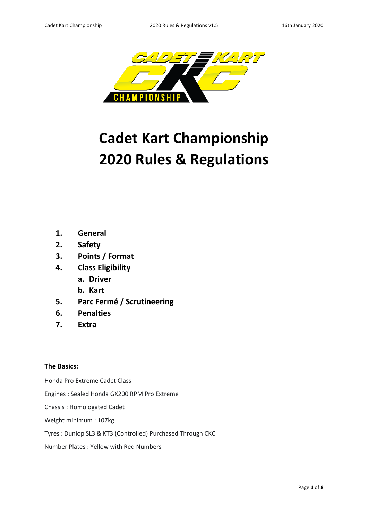

# **Cadet Kart Championship 2020 Rules & Regulations**

- **1. General**
- **2. Safety**
- **3. Points / Format**
- **4. Class Eligibility** 
	- **a. Driver**
	- **b. Kart**
- **5. Parc Fermé / Scrutineering**
- **6. Penalties**
- **7. Extra**

# **The Basics:**

Honda Pro Extreme Cadet Class

Engines : Sealed Honda GX200 RPM Pro Extreme

Chassis : Homologated Cadet

Weight minimum : 107kg

# Tyres : Dunlop SL3 & KT3 (Controlled) Purchased Through CKC

Number Plates : Yellow with Red Numbers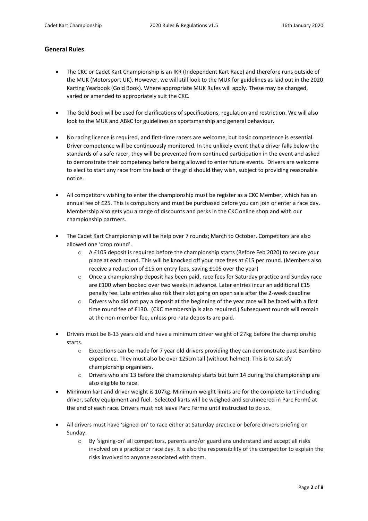# **General Rules**

- The CKC or Cadet Kart Championship is an IKR (Independent Kart Race) and therefore runs outside of the MUK (Motorsport UK). However, we will still look to the MUK for guidelines as laid out in the 2020 Karting Yearbook (Gold Book). Where appropriate MUK Rules will apply. These may be changed, varied or amended to appropriately suit the CKC.
- The Gold Book will be used for clarifications of specifications, regulation and restriction. We will also look to the MUK and ABkC for guidelines on sportsmanship and general behaviour.
- No racing licence is required, and first-time racers are welcome, but basic competence is essential. Driver competence will be continuously monitored. In the unlikely event that a driver falls below the standards of a safe racer, they will be prevented from continued participation in the event and asked to demonstrate their competency before being allowed to enter future events. Drivers are welcome to elect to start any race from the back of the grid should they wish, subject to providing reasonable notice.
- All competitors wishing to enter the championship must be register as a CKC Member, which has an annual fee of £25. This is compulsory and must be purchased before you can join or enter a race day. Membership also gets you a range of discounts and perks in the CKC online shop and with our championship partners.
- The Cadet Kart Championship will be help over 7 rounds; March to October. Competitors are also allowed one 'drop round'.
	- o A £105 deposit is required before the championship starts (Before Feb 2020) to secure your place at each round. This will be knocked off your race fees at £15 per round. (Members also receive a reduction of £15 on entry fees, saving £105 over the year)
	- o Once a championship deposit has been paid, race fees for Saturday practice and Sunday race are £100 when booked over two weeks in advance. Later entries incur an additional £15 penalty fee. Late entries also risk their slot going on open sale after the 2-week deadline
	- $\circ$  Drivers who did not pay a deposit at the beginning of the year race will be faced with a first time round fee of £130. (CKC membership is also required.) Subsequent rounds will remain at the non-member fee, unless pro-rata deposits are paid.
- Drivers must be 8-13 years old and have a minimum driver weight of 27kg before the championship starts.
	- $\circ$  Exceptions can be made for 7 year old drivers providing they can demonstrate past Bambino experience. They must also be over 125cm tall (without helmet). This is to satisfy championship organisers.
	- o Drivers who are 13 before the championship starts but turn 14 during the championship are also eligible to race.
- Minimum kart and driver weight is 107kg. Minimum weight limits are for the complete kart including driver, safety equipment and fuel. Selected karts will be weighed and scrutineered in Parc Fermé at the end of each race. Drivers must not leave Parc Fermé until instructed to do so.
- All drivers must have 'signed-on' to race either at Saturday practice or before drivers briefing on Sunday.
	- o By 'signing-on' all competitors, parents and/or guardians understand and accept all risks involved on a practice or race day. It is also the responsibility of the competitor to explain the risks involved to anyone associated with them.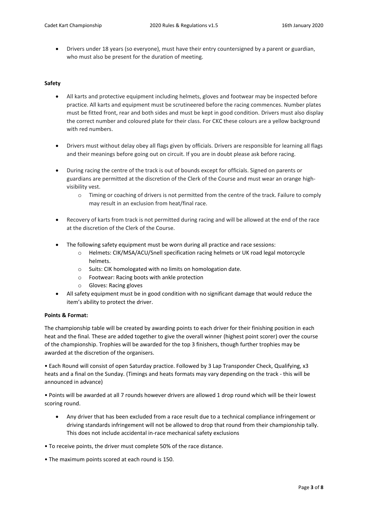• Drivers under 18 years (so everyone), must have their entry countersigned by a parent or guardian, who must also be present for the duration of meeting.

#### **Safety**

- All karts and protective equipment including helmets, gloves and footwear may be inspected before practice. All karts and equipment must be scrutineered before the racing commences. Number plates must be fitted front, rear and both sides and must be kept in good condition. Drivers must also display the correct number and coloured plate for their class. For CKC these colours are a yellow background with red numbers.
- Drivers must without delay obey all flags given by officials. Drivers are responsible for learning all flags and their meanings before going out on circuit. If you are in doubt please ask before racing.
- During racing the centre of the track is out of bounds except for officials. Signed on parents or guardians are permitted at the discretion of the Clerk of the Course and must wear an orange highvisibility vest.
	- o Timing or coaching of drivers is not permitted from the centre of the track. Failure to comply may result in an exclusion from heat/final race.
- Recovery of karts from track is not permitted during racing and will be allowed at the end of the race at the discretion of the Clerk of the Course.
- The following safety equipment must be worn during all practice and race sessions:
	- o Helmets: CIK/MSA/ACU/Snell specification racing helmets or UK road legal motorcycle helmets.
	- o Suits: CIK homologated with no limits on homologation date.
	- o Footwear: Racing boots with ankle protection
	- o Gloves: Racing gloves
- All safety equipment must be in good condition with no significant damage that would reduce the item's ability to protect the driver.

# **Points & Format:**

The championship table will be created by awarding points to each driver for their finishing position in each heat and the final. These are added together to give the overall winner (highest point scorer) over the course of the championship. Trophies will be awarded for the top 3 finishers, though further trophies may be awarded at the discretion of the organisers.

• Each Round will consist of open Saturday practice. Followed by 3 Lap Transponder Check, Qualifying, x3 heats and a final on the Sunday. (Timings and heats formats may vary depending on the track - this will be announced in advance)

• Points will be awarded at all 7 rounds however drivers are allowed 1 drop round which will be their lowest scoring round.

- Any driver that has been excluded from a race result due to a technical compliance infringement or driving standards infringement will not be allowed to drop that round from their championship tally. This does not include accidental in-race mechanical safety exclusions
- To receive points, the driver must complete 50% of the race distance.
- The maximum points scored at each round is 150.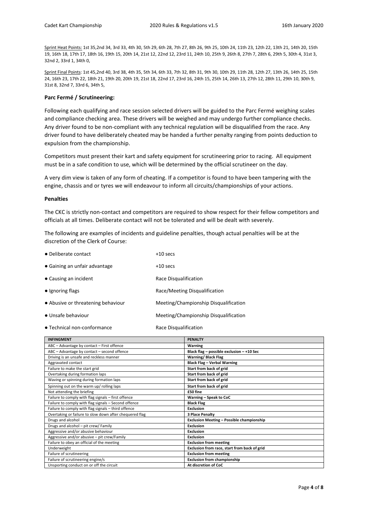Sprint Heat Points: 1st 35,2nd 34, 3rd 33, 4th 30, 5th 29, 6th 28, 7th 27, 8th 26, 9th 25, 10th 24, 11th 23, 12th 22, 13th 21, 14th 20, 15th 19, 16th 18, 17th 17, 18th 16, 19th 15, 20th 14, 21st 12, 22nd 12, 23rd 11, 24th 10, 25th 9, 26th 8, 27th 7, 28th 6, 29th 5, 30th 4, 31st 3, 32nd 2, 33rd 1, 34th 0,

Sprint Final Points: 1st 45,2nd 40, 3rd 38, 4th 35, 5th 34, 6th 33, 7th 32, 8th 31, 9th 30, 10th 29, 11th 28, 12th 27, 13th 26, 14th 25, 15th 24, 16th 23, 17th 22, 18th 21, 19th 20, 20th 19, 21st 18, 22nd 17, 23rd 16, 24th 15, 25th 14, 26th 13, 27th 12, 28th 11, 29th 10, 30th 9, 31st 8, 32nd 7, 33rd 6, 34th 5,

#### **Parc Fermé / Scrutineering:**

Following each qualifying and race session selected drivers will be guided to the Parc Fermé weighing scales and compliance checking area. These drivers will be weighed and may undergo further compliance checks. Any driver found to be non-compliant with any technical regulation will be disqualified from the race. Any driver found to have deliberately cheated may be handed a further penalty ranging from points deduction to expulsion from the championship.

Competitors must present their kart and safety equipment for scrutineering prior to racing. All equipment must be in a safe condition to use, which will be determined by the official scrutineer on the day.

A very dim view is taken of any form of cheating. If a competitor is found to have been tampering with the engine, chassis and or tyres we will endeavour to inform all circuits/championships of your actions.

#### **Penalties**

The CKC is strictly non-contact and competitors are required to show respect for their fellow competitors and officials at all times. Deliberate contact will not be tolerated and will be dealt with severely.

The following are examples of incidents and guideline penalties, though actual penalties will be at the discretion of the Clerk of Course:

| • Deliberate contact               | $+10$ secs                            |
|------------------------------------|---------------------------------------|
| • Gaining an unfair advantage      | $+10$ secs                            |
| • Causing an incident              | Race Disqualification                 |
| $\bullet$ Ignoring flags           | Race/Meeting Disqualification         |
| • Abusive or threatening behaviour | Meeting/Championship Disqualification |
| • Unsafe behaviour                 | Meeting/Championship Disqualification |
| • Technical non-conformance        | Race Disqualification                 |

| <b>INFINGMENT</b>                                       | <b>PENALTY</b>                               |
|---------------------------------------------------------|----------------------------------------------|
| ABC - Advantage by contact - First offence              | <b>Warning</b>                               |
| ABC - Advantage by contact - second offence             | Black flag - possible exclusion - +10 Sec    |
| Driving is an unsafe and reckless manner                | Warning/ Black Flag                          |
| Aggravated contact                                      | <b>Black Flag - Verbal Warning</b>           |
| Failure to make the start grid                          | Start from back of grid                      |
| Overtaking during formation laps                        | Start from back of grid                      |
| Waving or spinning during formation laps                | Start from back of grid                      |
| Spinning out on the warm up/ rolling laps               | Start from back of grid                      |
| Not attending the briefing                              | £50 fine                                     |
| Failure to comply with flag signals - first offence     | Warning - Speak to CoC                       |
| Failure to comply with flag signals - Second offence    | <b>Black Flag</b>                            |
| Failure to comply with flag signals - third offence     | Exclusion                                    |
| Overtaking or failure to slow down after chequered flag | <b>3 Place Penalty</b>                       |
| Drugs and alcohol                                       | Exclusion Meeting - Possible championship    |
| Drugs and alcohol - pit crew/ Family                    | Exclusion                                    |
| Aggressive and/or abusive behaviour                     | <b>Exclusion</b>                             |
| Aggressive and/or abusive - pit crew/Family             | <b>Exclusion</b>                             |
| Failure to obey an official of the meeting              | <b>Exclusion from meeting</b>                |
| Underweight                                             | Exclusion from race, start from back of grid |
| Failure of scrutineering                                | <b>Exclusion from meeting</b>                |
| Failure of scrutineering engine/s                       | <b>Exclusion from championship</b>           |
| Unsporting conduct on or off the circuit                | At discretion of CoC                         |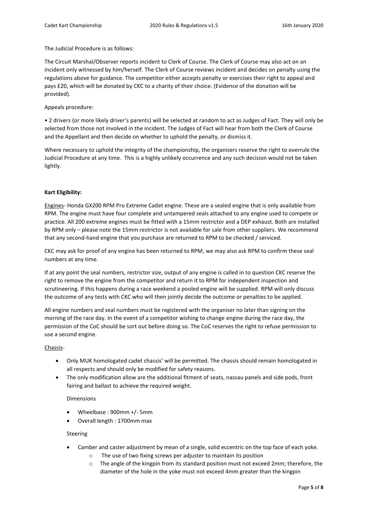The Judicial Procedure is as follows:

The Circuit Marshal/Observer reports incident to Clerk of Course. The Clerk of Course may also act on an incident only witnessed by him/herself. The Clerk of Course reviews incident and decides on penalty using the regulations above for guidance. The competitor either accepts penalty or exercises their right to appeal and pays £20, which will be donated by CKC to a charity of their choice. (Evidence of the donation will be provided).

Appeals procedure:

• 2 drivers (or more likely driver's parents) will be selected at random to act as Judges of Fact. They will only be selected from those not involved in the incident. The Judges of Fact will hear from both the Clerk of Course and the Appellant and then decide on whether to uphold the penalty, or dismiss it.

Where necessary to uphold the integrity of the championship, the organisers reserve the right to overrule the Judicial Procedure at any time. This is a highly unlikely occurrence and any such decision would not be taken lightly.

#### **Kart Eligibility:**

Engines- Honda GX200 RPM Pro Extreme Cadet engine. These are a sealed engine that is only available from RPM. The engine must have four complete and untampered seals attached to any engine used to compete or practice. All 200 extreme engines must be fitted with a 15mm restrictor and a DEP exhaust. Both are installed by RPM only – please note the 15mm restrictor is not available for sale from other suppliers. We recommend that any second-hand engine that you purchase are returned to RPM to be checked / serviced.

CKC may ask for proof of any engine has been returned to RPM, we may also ask RPM to confirm these seal numbers at any time.

If at any point the seal numbers, restrictor size, output of any engine is called in to question CKC reserve the right to remove the engine from the competitor and return it to RPM for independent inspection and scrutineering. If this happens during a race weekend a pooled engine will be supplied. RPM will only discuss the outcome of any tests with CKC who will then jointly decide the outcome or penalties to be applied.

All engine numbers and seal numbers must be registered with the organiser no later than signing on the morning of the race day. In the event of a competitor wishing to change engine during the race day, the permission of the CoC should be sort out before doing so. The CoC reserves the right to refuse permission to use a second engine.

#### Chassis-

- Only MUK homologated cadet chassis' will be permitted. The chassis should remain homologated in all respects and should only be modified for safety reasons.
- The only modification allow are the additional fitment of seats, nassau panels and side pods, front fairing and ballast to achieve the required weight.

Dimensions

- Wheelbase : 900mm +/- 5mm
- Overall length : 1700mm max

#### Steering

- Camber and caster adjustment by mean of a single, solid eccentric on the top face of each yoke.
	- o The use of two fixing screws per adjuster to maintain its position
	- o The angle of the kingpin from its standard position must not exceed 2mm; therefore, the diameter of the hole in the yoke must not exceed 4mm greater than the kingpin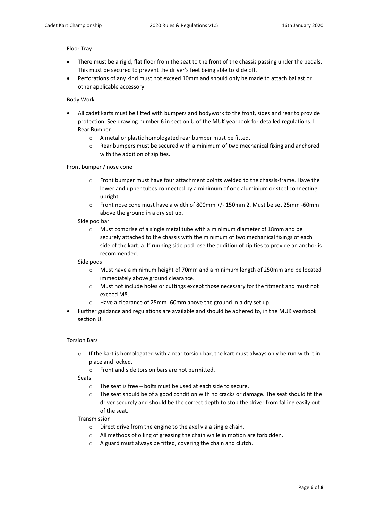## Floor Tray

- There must be a rigid, flat floor from the seat to the front of the chassis passing under the pedals. This must be secured to prevent the driver's feet being able to slide off.
- Perforations of any kind must not exceed 10mm and should only be made to attach ballast or other applicable accessory

## Body Work

- All cadet karts must be fitted with bumpers and bodywork to the front, sides and rear to provide protection. See drawing number 6 in section U of the MUK yearbook for detailed regulations. I Rear Bumper
	- o A metal or plastic homologated rear bumper must be fitted.
	- $\circ$  Rear bumpers must be secured with a minimum of two mechanical fixing and anchored with the addition of zip ties.

#### Front bumper / nose cone

- o Front bumper must have four attachment points welded to the chassis-frame. Have the lower and upper tubes connected by a minimum of one aluminium or steel connecting upright.
- o Front nose cone must have a width of 800mm +/- 150mm 2. Must be set 25mm -60mm above the ground in a dry set up.

#### Side pod bar

o Must comprise of a single metal tube with a minimum diameter of 18mm and be securely attached to the chassis with the minimum of two mechanical fixings of each side of the kart. a. If running side pod lose the addition of zip ties to provide an anchor is recommended.

#### Side pods

- o Must have a minimum height of 70mm and a minimum length of 250mm and be located immediately above ground clearance.
- o Must not include holes or cuttings except those necessary for the fitment and must not exceed M8.
- o Have a clearance of 25mm -60mm above the ground in a dry set up.
- Further guidance and regulations are available and should be adhered to, in the MUK yearbook section U.

#### Torsion Bars

 $\circ$  If the kart is homologated with a rear torsion bar, the kart must always only be run with it in place and locked.

o Front and side torsion bars are not permitted.

Seats

- o The seat is free bolts must be used at each side to secure.
- $\circ$  The seat should be of a good condition with no cracks or damage. The seat should fit the driver securely and should be the correct depth to stop the driver from falling easily out of the seat.

#### Transmission

- o Direct drive from the engine to the axel via a single chain.
- o All methods of oiling of greasing the chain while in motion are forbidden.
- o A guard must always be fitted, covering the chain and clutch.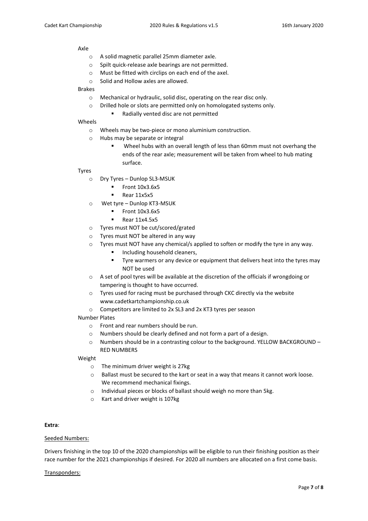#### Axle

- o A solid magnetic parallel 25mm diameter axle.
- o Spilt quick-release axle bearings are not permitted.
- o Must be fitted with circlips on each end of the axel.
- o Solid and Hollow axles are allowed.

## Brakes

- o Mechanical or hydraulic, solid disc, operating on the rear disc only.
- o Drilled hole or slots are permitted only on homologated systems only.
	- Radially vented disc are not permitted

## Wheels

- o Wheels may be two-piece or mono aluminium construction.
- o Hubs may be separate or integral
	- Wheel hubs with an overall length of less than 60mm must not overhang the ends of the rear axle; measurement will be taken from wheel to hub mating surface.

#### Tyres

- o Dry Tyres Dunlop SL3-MSUK
	- Front 10x3.6x5
	- Rear 11x5x5
- o Wet tyre Dunlop KT3-MSUK
	- Front 10x3.6x5
	- Rear 11x4.5x5
- o Tyres must NOT be cut/scored/grated
- o Tyres must NOT be altered in any way
- $\circ$  Tyres must NOT have any chemical/s applied to soften or modify the tyre in any way.
	- Including household cleaners,
	- **Tyre warmers or any device or equipment that delivers heat into the tyres may** NOT be used
- o A set of pool tyres will be available at the discretion of the officials if wrongdoing or tampering is thought to have occurred.
- o Tyres used for racing must be purchased through CKC directly via the website www.cadetkartchampionship.co.uk
- o Competitors are limited to 2x SL3 and 2x KT3 tyres per season

# Number Plates

- o Front and rear numbers should be run.
- o Numbers should be clearly defined and not form a part of a design.
- o Numbers should be in a contrasting colour to the background. YELLOW BACKGROUND RED NUMBERS

# Weight

- o The minimum driver weight is 27kg
- o Ballast must be secured to the kart or seat in a way that means it cannot work loose. We recommend mechanical fixings.
- o Individual pieces or blocks of ballast should weigh no more than 5kg.
- o Kart and driver weight is 107kg

# **Extra**:

# Seeded Numbers:

Drivers finishing in the top 10 of the 2020 championships will be eligible to run their finishing position as their race number for the 2021 championships if desired. For 2020 all numbers are allocated on a first come basis.

# Transponders: